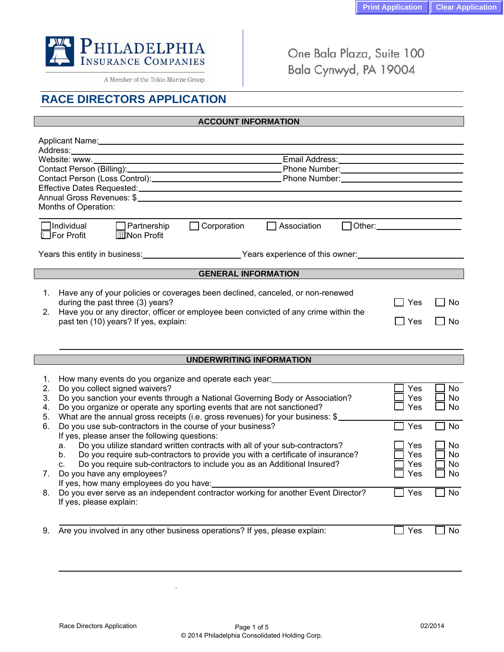

A Member of the Tokio Marine Group

One Bala Plaza, Suite 100 Bala Cynwyd, PA 19004

## **RACE DIRECTORS APPLICATION**

## **ACCOUNT INFORMATION**

| Months of Operation:                                                               |                                                                                                                                                                                                                                                              |  |  |
|------------------------------------------------------------------------------------|--------------------------------------------------------------------------------------------------------------------------------------------------------------------------------------------------------------------------------------------------------------|--|--|
|                                                                                    |                                                                                                                                                                                                                                                              |  |  |
| 1Individual<br>Partnership                                                         | Other: and the control of the control of the control of the control of the control of the control of the control of the control of the control of the control of the control of the control of the control of the control of t<br>Corporation<br>Association |  |  |
| A For Profit<br><b>AWNon Profit</b>                                                |                                                                                                                                                                                                                                                              |  |  |
|                                                                                    |                                                                                                                                                                                                                                                              |  |  |
| Years this entity in business: North Marian Marian Mears experience of this owner: |                                                                                                                                                                                                                                                              |  |  |
|                                                                                    |                                                                                                                                                                                                                                                              |  |  |
|                                                                                    | <b>GENERAL INFORMATION</b>                                                                                                                                                                                                                                   |  |  |
|                                                                                    |                                                                                                                                                                                                                                                              |  |  |
| 1.                                                                                 | Have any of your policies or coverages been declined, canceled, or non-renewed                                                                                                                                                                               |  |  |
| during the past three (3) years?                                                   | Yes<br>No                                                                                                                                                                                                                                                    |  |  |
| 2 <sub>1</sub>                                                                     | Have you or any director, officer or employee been convicted of any crime within the                                                                                                                                                                         |  |  |
| past ten (10) years? If yes, explain:                                              | Yes<br>No                                                                                                                                                                                                                                                    |  |  |
|                                                                                    |                                                                                                                                                                                                                                                              |  |  |
|                                                                                    |                                                                                                                                                                                                                                                              |  |  |

## **UNDERWRITING INFORMATION**

|    | How many events do you organize and operate each year:                                    |     |           |
|----|-------------------------------------------------------------------------------------------|-----|-----------|
| 2. | Do you collect signed waivers?                                                            | Yes | No.       |
| 3. | Do you sanction your events through a National Governing Body or Association?             | Yes | No        |
| 4. | Do you organize or operate any sporting events that are not sanctioned?                   | Yes | No        |
| 5. | What are the annual gross receipts (i.e. gross revenues) for your business: \$            |     |           |
| 6. | Do you use sub-contractors in the course of your business?                                | Yes | <b>No</b> |
|    | If yes, please anser the following questions:                                             |     |           |
|    | Do you utilize standard written contracts with all of your sub-contractors?<br>a.         | Yes | No.       |
|    | Do you require sub-contractors to provide you with a certificate of insurance?<br>$b_{1}$ | Yes | No.       |
|    | Do you require sub-contractors to include you as an Additional Insured?<br>C.             | Yes | No.       |
| 7. | Do you have any employees?                                                                | Yes | No.       |
|    | If yes, how many employees do you have:                                                   |     |           |
| 8. | Do you ever serve as an independent contractor working for another Event Director?        | Yes | <b>No</b> |
|    | If yes, please explain:                                                                   |     |           |
|    |                                                                                           |     |           |
|    |                                                                                           |     |           |
| 9. | Are you involved in any other business operations? If yes, please explain:                | Yes | Nο        |
|    |                                                                                           |     |           |

.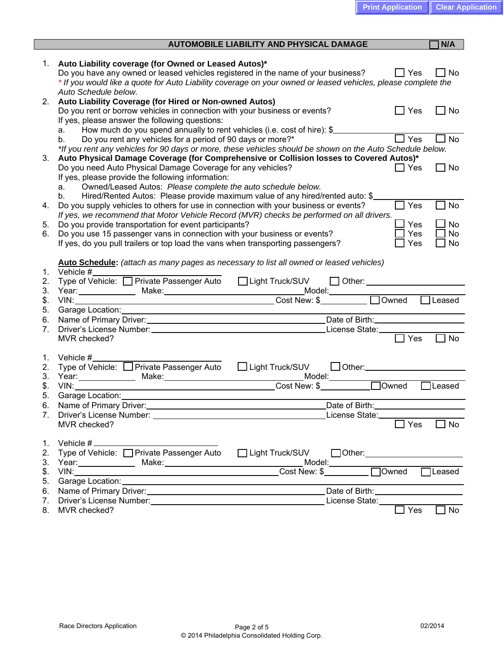| Auto Liability coverage (for Owned or Leased Autos)*<br>1.<br>Do you have any owned or leased vehicles registered in the name of your business?<br>$\Box$ No<br>$\Box$ Yes<br>* If you would like a quote for Auto Liability coverage on your owned or leased vehicles, please complete the<br>Auto Schedule below.<br>Auto Liability Coverage (for Hired or Non-owned Autos)<br>2.<br>Do you rent or borrow vehicles in connection with your business or events?<br>$\Box$ No<br>$\Box$ Yes<br>If yes, please answer the following questions:<br>How much do you spend annually to rent vehicles (i.e. cost of hire): \$<br>a.<br>$\Box$ Yes<br>No<br>Do you rent any vehicles for a period of 90 days or more?*<br>b.<br>*If you rent any vehicles for 90 days or more, these vehicles should be shown on the Auto Schedule below.<br>Auto Physical Damage Coverage (for Comprehensive or Collision losses to Covered Autos)*<br>3.<br>Do you need Auto Physical Damage Coverage for any vehicles?<br>$\Box$ Yes<br>$\Box$ No<br>If yes, please provide the following information:<br>Owned/Leased Autos: Please complete the auto schedule below.<br>a.<br>Hired/Rented Autos: Please provide maximum value of any hired/rented auto: \$<br>b.<br>Do you supply vehicles to others for use in connection with your business or events?<br>Yes<br>No<br>4.<br>If yes, we recommend that Motor Vehicle Record (MVR) checks be performed on all drivers.<br>Yes<br><b>No</b><br>Do you provide transportation for event participants?<br>5.<br><b>No</b><br>Do you use 15 passenger vans in connection with your business or events?<br>Yes<br>6.<br>If yes, do you pull trailers or top load the vans when transporting passengers?<br>No<br>Yes<br>Auto Schedule: (attach as many pages as necessary to list all owned or leased vehicles)<br>Vehicle $#_$<br>1.<br>Type of Vehicle: □ Private Passenger Auto □ Light Truck/SUV<br>2.<br>$\Box$ Other: $\Box$<br>3.<br>Year: Make: Make: Model: Model: Model: Model: Model: Model: Model: Model: Model: Model: Model: Model: Model: Model: Model: Model: Model: Model: Model: Model: Model: Model: Model: Model: Model: Model: Model: Model: Model:<br>Leased<br>\$.<br>5.<br>6.<br>7.<br>$\Box$ No<br>1.<br>Vehicle $#_$<br>Type of Vehicle: □ Private Passenger Auto □ Light Truck/SUV □ Other: ___________<br>2.<br>3.<br>\$.<br>$\Box$ Leased<br>VIN:<br>5. |
|-------------------------------------------------------------------------------------------------------------------------------------------------------------------------------------------------------------------------------------------------------------------------------------------------------------------------------------------------------------------------------------------------------------------------------------------------------------------------------------------------------------------------------------------------------------------------------------------------------------------------------------------------------------------------------------------------------------------------------------------------------------------------------------------------------------------------------------------------------------------------------------------------------------------------------------------------------------------------------------------------------------------------------------------------------------------------------------------------------------------------------------------------------------------------------------------------------------------------------------------------------------------------------------------------------------------------------------------------------------------------------------------------------------------------------------------------------------------------------------------------------------------------------------------------------------------------------------------------------------------------------------------------------------------------------------------------------------------------------------------------------------------------------------------------------------------------------------------------------------------------------------------------------------------------------------------------------------------------------------------------------------------------------------------------------------------------------------------------------------------------------------------------------------------------------------------------------------------------------------------------------------------------------------------------------------------------------------------------------------------------------------------------------------------|
|                                                                                                                                                                                                                                                                                                                                                                                                                                                                                                                                                                                                                                                                                                                                                                                                                                                                                                                                                                                                                                                                                                                                                                                                                                                                                                                                                                                                                                                                                                                                                                                                                                                                                                                                                                                                                                                                                                                                                                                                                                                                                                                                                                                                                                                                                                                                                                                                                   |
|                                                                                                                                                                                                                                                                                                                                                                                                                                                                                                                                                                                                                                                                                                                                                                                                                                                                                                                                                                                                                                                                                                                                                                                                                                                                                                                                                                                                                                                                                                                                                                                                                                                                                                                                                                                                                                                                                                                                                                                                                                                                                                                                                                                                                                                                                                                                                                                                                   |
|                                                                                                                                                                                                                                                                                                                                                                                                                                                                                                                                                                                                                                                                                                                                                                                                                                                                                                                                                                                                                                                                                                                                                                                                                                                                                                                                                                                                                                                                                                                                                                                                                                                                                                                                                                                                                                                                                                                                                                                                                                                                                                                                                                                                                                                                                                                                                                                                                   |
|                                                                                                                                                                                                                                                                                                                                                                                                                                                                                                                                                                                                                                                                                                                                                                                                                                                                                                                                                                                                                                                                                                                                                                                                                                                                                                                                                                                                                                                                                                                                                                                                                                                                                                                                                                                                                                                                                                                                                                                                                                                                                                                                                                                                                                                                                                                                                                                                                   |
|                                                                                                                                                                                                                                                                                                                                                                                                                                                                                                                                                                                                                                                                                                                                                                                                                                                                                                                                                                                                                                                                                                                                                                                                                                                                                                                                                                                                                                                                                                                                                                                                                                                                                                                                                                                                                                                                                                                                                                                                                                                                                                                                                                                                                                                                                                                                                                                                                   |
|                                                                                                                                                                                                                                                                                                                                                                                                                                                                                                                                                                                                                                                                                                                                                                                                                                                                                                                                                                                                                                                                                                                                                                                                                                                                                                                                                                                                                                                                                                                                                                                                                                                                                                                                                                                                                                                                                                                                                                                                                                                                                                                                                                                                                                                                                                                                                                                                                   |
|                                                                                                                                                                                                                                                                                                                                                                                                                                                                                                                                                                                                                                                                                                                                                                                                                                                                                                                                                                                                                                                                                                                                                                                                                                                                                                                                                                                                                                                                                                                                                                                                                                                                                                                                                                                                                                                                                                                                                                                                                                                                                                                                                                                                                                                                                                                                                                                                                   |
|                                                                                                                                                                                                                                                                                                                                                                                                                                                                                                                                                                                                                                                                                                                                                                                                                                                                                                                                                                                                                                                                                                                                                                                                                                                                                                                                                                                                                                                                                                                                                                                                                                                                                                                                                                                                                                                                                                                                                                                                                                                                                                                                                                                                                                                                                                                                                                                                                   |
|                                                                                                                                                                                                                                                                                                                                                                                                                                                                                                                                                                                                                                                                                                                                                                                                                                                                                                                                                                                                                                                                                                                                                                                                                                                                                                                                                                                                                                                                                                                                                                                                                                                                                                                                                                                                                                                                                                                                                                                                                                                                                                                                                                                                                                                                                                                                                                                                                   |
|                                                                                                                                                                                                                                                                                                                                                                                                                                                                                                                                                                                                                                                                                                                                                                                                                                                                                                                                                                                                                                                                                                                                                                                                                                                                                                                                                                                                                                                                                                                                                                                                                                                                                                                                                                                                                                                                                                                                                                                                                                                                                                                                                                                                                                                                                                                                                                                                                   |
|                                                                                                                                                                                                                                                                                                                                                                                                                                                                                                                                                                                                                                                                                                                                                                                                                                                                                                                                                                                                                                                                                                                                                                                                                                                                                                                                                                                                                                                                                                                                                                                                                                                                                                                                                                                                                                                                                                                                                                                                                                                                                                                                                                                                                                                                                                                                                                                                                   |
|                                                                                                                                                                                                                                                                                                                                                                                                                                                                                                                                                                                                                                                                                                                                                                                                                                                                                                                                                                                                                                                                                                                                                                                                                                                                                                                                                                                                                                                                                                                                                                                                                                                                                                                                                                                                                                                                                                                                                                                                                                                                                                                                                                                                                                                                                                                                                                                                                   |
|                                                                                                                                                                                                                                                                                                                                                                                                                                                                                                                                                                                                                                                                                                                                                                                                                                                                                                                                                                                                                                                                                                                                                                                                                                                                                                                                                                                                                                                                                                                                                                                                                                                                                                                                                                                                                                                                                                                                                                                                                                                                                                                                                                                                                                                                                                                                                                                                                   |
|                                                                                                                                                                                                                                                                                                                                                                                                                                                                                                                                                                                                                                                                                                                                                                                                                                                                                                                                                                                                                                                                                                                                                                                                                                                                                                                                                                                                                                                                                                                                                                                                                                                                                                                                                                                                                                                                                                                                                                                                                                                                                                                                                                                                                                                                                                                                                                                                                   |
|                                                                                                                                                                                                                                                                                                                                                                                                                                                                                                                                                                                                                                                                                                                                                                                                                                                                                                                                                                                                                                                                                                                                                                                                                                                                                                                                                                                                                                                                                                                                                                                                                                                                                                                                                                                                                                                                                                                                                                                                                                                                                                                                                                                                                                                                                                                                                                                                                   |
|                                                                                                                                                                                                                                                                                                                                                                                                                                                                                                                                                                                                                                                                                                                                                                                                                                                                                                                                                                                                                                                                                                                                                                                                                                                                                                                                                                                                                                                                                                                                                                                                                                                                                                                                                                                                                                                                                                                                                                                                                                                                                                                                                                                                                                                                                                                                                                                                                   |
|                                                                                                                                                                                                                                                                                                                                                                                                                                                                                                                                                                                                                                                                                                                                                                                                                                                                                                                                                                                                                                                                                                                                                                                                                                                                                                                                                                                                                                                                                                                                                                                                                                                                                                                                                                                                                                                                                                                                                                                                                                                                                                                                                                                                                                                                                                                                                                                                                   |
|                                                                                                                                                                                                                                                                                                                                                                                                                                                                                                                                                                                                                                                                                                                                                                                                                                                                                                                                                                                                                                                                                                                                                                                                                                                                                                                                                                                                                                                                                                                                                                                                                                                                                                                                                                                                                                                                                                                                                                                                                                                                                                                                                                                                                                                                                                                                                                                                                   |
|                                                                                                                                                                                                                                                                                                                                                                                                                                                                                                                                                                                                                                                                                                                                                                                                                                                                                                                                                                                                                                                                                                                                                                                                                                                                                                                                                                                                                                                                                                                                                                                                                                                                                                                                                                                                                                                                                                                                                                                                                                                                                                                                                                                                                                                                                                                                                                                                                   |
|                                                                                                                                                                                                                                                                                                                                                                                                                                                                                                                                                                                                                                                                                                                                                                                                                                                                                                                                                                                                                                                                                                                                                                                                                                                                                                                                                                                                                                                                                                                                                                                                                                                                                                                                                                                                                                                                                                                                                                                                                                                                                                                                                                                                                                                                                                                                                                                                                   |
|                                                                                                                                                                                                                                                                                                                                                                                                                                                                                                                                                                                                                                                                                                                                                                                                                                                                                                                                                                                                                                                                                                                                                                                                                                                                                                                                                                                                                                                                                                                                                                                                                                                                                                                                                                                                                                                                                                                                                                                                                                                                                                                                                                                                                                                                                                                                                                                                                   |
|                                                                                                                                                                                                                                                                                                                                                                                                                                                                                                                                                                                                                                                                                                                                                                                                                                                                                                                                                                                                                                                                                                                                                                                                                                                                                                                                                                                                                                                                                                                                                                                                                                                                                                                                                                                                                                                                                                                                                                                                                                                                                                                                                                                                                                                                                                                                                                                                                   |
|                                                                                                                                                                                                                                                                                                                                                                                                                                                                                                                                                                                                                                                                                                                                                                                                                                                                                                                                                                                                                                                                                                                                                                                                                                                                                                                                                                                                                                                                                                                                                                                                                                                                                                                                                                                                                                                                                                                                                                                                                                                                                                                                                                                                                                                                                                                                                                                                                   |
|                                                                                                                                                                                                                                                                                                                                                                                                                                                                                                                                                                                                                                                                                                                                                                                                                                                                                                                                                                                                                                                                                                                                                                                                                                                                                                                                                                                                                                                                                                                                                                                                                                                                                                                                                                                                                                                                                                                                                                                                                                                                                                                                                                                                                                                                                                                                                                                                                   |
|                                                                                                                                                                                                                                                                                                                                                                                                                                                                                                                                                                                                                                                                                                                                                                                                                                                                                                                                                                                                                                                                                                                                                                                                                                                                                                                                                                                                                                                                                                                                                                                                                                                                                                                                                                                                                                                                                                                                                                                                                                                                                                                                                                                                                                                                                                                                                                                                                   |
|                                                                                                                                                                                                                                                                                                                                                                                                                                                                                                                                                                                                                                                                                                                                                                                                                                                                                                                                                                                                                                                                                                                                                                                                                                                                                                                                                                                                                                                                                                                                                                                                                                                                                                                                                                                                                                                                                                                                                                                                                                                                                                                                                                                                                                                                                                                                                                                                                   |
|                                                                                                                                                                                                                                                                                                                                                                                                                                                                                                                                                                                                                                                                                                                                                                                                                                                                                                                                                                                                                                                                                                                                                                                                                                                                                                                                                                                                                                                                                                                                                                                                                                                                                                                                                                                                                                                                                                                                                                                                                                                                                                                                                                                                                                                                                                                                                                                                                   |
|                                                                                                                                                                                                                                                                                                                                                                                                                                                                                                                                                                                                                                                                                                                                                                                                                                                                                                                                                                                                                                                                                                                                                                                                                                                                                                                                                                                                                                                                                                                                                                                                                                                                                                                                                                                                                                                                                                                                                                                                                                                                                                                                                                                                                                                                                                                                                                                                                   |
|                                                                                                                                                                                                                                                                                                                                                                                                                                                                                                                                                                                                                                                                                                                                                                                                                                                                                                                                                                                                                                                                                                                                                                                                                                                                                                                                                                                                                                                                                                                                                                                                                                                                                                                                                                                                                                                                                                                                                                                                                                                                                                                                                                                                                                                                                                                                                                                                                   |
|                                                                                                                                                                                                                                                                                                                                                                                                                                                                                                                                                                                                                                                                                                                                                                                                                                                                                                                                                                                                                                                                                                                                                                                                                                                                                                                                                                                                                                                                                                                                                                                                                                                                                                                                                                                                                                                                                                                                                                                                                                                                                                                                                                                                                                                                                                                                                                                                                   |
|                                                                                                                                                                                                                                                                                                                                                                                                                                                                                                                                                                                                                                                                                                                                                                                                                                                                                                                                                                                                                                                                                                                                                                                                                                                                                                                                                                                                                                                                                                                                                                                                                                                                                                                                                                                                                                                                                                                                                                                                                                                                                                                                                                                                                                                                                                                                                                                                                   |
|                                                                                                                                                                                                                                                                                                                                                                                                                                                                                                                                                                                                                                                                                                                                                                                                                                                                                                                                                                                                                                                                                                                                                                                                                                                                                                                                                                                                                                                                                                                                                                                                                                                                                                                                                                                                                                                                                                                                                                                                                                                                                                                                                                                                                                                                                                                                                                                                                   |
|                                                                                                                                                                                                                                                                                                                                                                                                                                                                                                                                                                                                                                                                                                                                                                                                                                                                                                                                                                                                                                                                                                                                                                                                                                                                                                                                                                                                                                                                                                                                                                                                                                                                                                                                                                                                                                                                                                                                                                                                                                                                                                                                                                                                                                                                                                                                                                                                                   |
|                                                                                                                                                                                                                                                                                                                                                                                                                                                                                                                                                                                                                                                                                                                                                                                                                                                                                                                                                                                                                                                                                                                                                                                                                                                                                                                                                                                                                                                                                                                                                                                                                                                                                                                                                                                                                                                                                                                                                                                                                                                                                                                                                                                                                                                                                                                                                                                                                   |
| Date of Birth: <u>Charles and Charles and Charles and Charles and Charles and Charles and Charles and Charles and Charles and Charles and Charles and Charles and Charles and Charles and Charles and Charles and Charles and Ch</u>                                                                                                                                                                                                                                                                                                                                                                                                                                                                                                                                                                                                                                                                                                                                                                                                                                                                                                                                                                                                                                                                                                                                                                                                                                                                                                                                                                                                                                                                                                                                                                                                                                                                                                                                                                                                                                                                                                                                                                                                                                                                                                                                                                              |
| 7.<br>Driver's License Number: University of the University of the University of the University of the University of the University of the University of the University of the University of the University of the University of the<br>License State:____________                                                                                                                                                                                                                                                                                                                                                                                                                                                                                                                                                                                                                                                                                                                                                                                                                                                                                                                                                                                                                                                                                                                                                                                                                                                                                                                                                                                                                                                                                                                                                                                                                                                                                                                                                                                                                                                                                                                                                                                                                                                                                                                                                |
| $\overline{\mathsf{Y}}$ es<br><b>No</b><br>MVR checked?                                                                                                                                                                                                                                                                                                                                                                                                                                                                                                                                                                                                                                                                                                                                                                                                                                                                                                                                                                                                                                                                                                                                                                                                                                                                                                                                                                                                                                                                                                                                                                                                                                                                                                                                                                                                                                                                                                                                                                                                                                                                                                                                                                                                                                                                                                                                                           |
|                                                                                                                                                                                                                                                                                                                                                                                                                                                                                                                                                                                                                                                                                                                                                                                                                                                                                                                                                                                                                                                                                                                                                                                                                                                                                                                                                                                                                                                                                                                                                                                                                                                                                                                                                                                                                                                                                                                                                                                                                                                                                                                                                                                                                                                                                                                                                                                                                   |
| 1.                                                                                                                                                                                                                                                                                                                                                                                                                                                                                                                                                                                                                                                                                                                                                                                                                                                                                                                                                                                                                                                                                                                                                                                                                                                                                                                                                                                                                                                                                                                                                                                                                                                                                                                                                                                                                                                                                                                                                                                                                                                                                                                                                                                                                                                                                                                                                                                                                |
| Type of Vehicle: □ Private Passenger Auto □ Light Truck/SUV □ Other: _________________<br>2.                                                                                                                                                                                                                                                                                                                                                                                                                                                                                                                                                                                                                                                                                                                                                                                                                                                                                                                                                                                                                                                                                                                                                                                                                                                                                                                                                                                                                                                                                                                                                                                                                                                                                                                                                                                                                                                                                                                                                                                                                                                                                                                                                                                                                                                                                                                      |
| 3.<br>Year: Make: Make: Make: Model: Model: Model: Model: Model: Model: Model: Model: Model: Model: Model: Model: Mo<br>VIN: Model: Model: Model: Model: Model: Model: Model: Model: Model: Model: Model: Model: Model: Model: Model:                                                                                                                                                                                                                                                                                                                                                                                                                                                                                                                                                                                                                                                                                                                                                                                                                                                                                                                                                                                                                                                                                                                                                                                                                                                                                                                                                                                                                                                                                                                                                                                                                                                                                                                                                                                                                                                                                                                                                                                                                                                                                                                                                                             |
| $\Box$ Leased<br>\$.                                                                                                                                                                                                                                                                                                                                                                                                                                                                                                                                                                                                                                                                                                                                                                                                                                                                                                                                                                                                                                                                                                                                                                                                                                                                                                                                                                                                                                                                                                                                                                                                                                                                                                                                                                                                                                                                                                                                                                                                                                                                                                                                                                                                                                                                                                                                                                                              |
| 5.                                                                                                                                                                                                                                                                                                                                                                                                                                                                                                                                                                                                                                                                                                                                                                                                                                                                                                                                                                                                                                                                                                                                                                                                                                                                                                                                                                                                                                                                                                                                                                                                                                                                                                                                                                                                                                                                                                                                                                                                                                                                                                                                                                                                                                                                                                                                                                                                                |
| 6.<br>7.                                                                                                                                                                                                                                                                                                                                                                                                                                                                                                                                                                                                                                                                                                                                                                                                                                                                                                                                                                                                                                                                                                                                                                                                                                                                                                                                                                                                                                                                                                                                                                                                                                                                                                                                                                                                                                                                                                                                                                                                                                                                                                                                                                                                                                                                                                                                                                                                          |
| $\Box$ Yes<br>$\Box$ No<br>8.<br>MVR checked?                                                                                                                                                                                                                                                                                                                                                                                                                                                                                                                                                                                                                                                                                                                                                                                                                                                                                                                                                                                                                                                                                                                                                                                                                                                                                                                                                                                                                                                                                                                                                                                                                                                                                                                                                                                                                                                                                                                                                                                                                                                                                                                                                                                                                                                                                                                                                                     |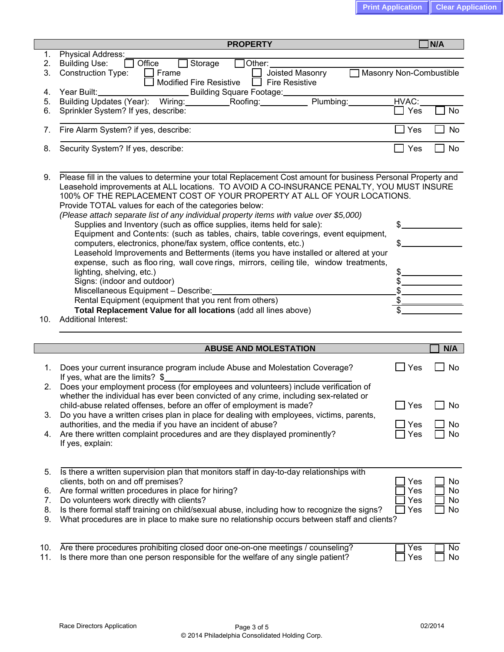|            | <b>PROPERTY</b>                                                                                                                                                                                                                                                                                                                                                                                                                                                                                                                                                                                                                                                                                                                                                                                                                                                                                                                                                                                                                                                                                                              |                             | N/A       |
|------------|------------------------------------------------------------------------------------------------------------------------------------------------------------------------------------------------------------------------------------------------------------------------------------------------------------------------------------------------------------------------------------------------------------------------------------------------------------------------------------------------------------------------------------------------------------------------------------------------------------------------------------------------------------------------------------------------------------------------------------------------------------------------------------------------------------------------------------------------------------------------------------------------------------------------------------------------------------------------------------------------------------------------------------------------------------------------------------------------------------------------------|-----------------------------|-----------|
| 1.         | Physical Address:                                                                                                                                                                                                                                                                                                                                                                                                                                                                                                                                                                                                                                                                                                                                                                                                                                                                                                                                                                                                                                                                                                            |                             |           |
| 2.<br>3.   | Office<br>Storage<br>Other:<br><b>Building Use:</b><br><b>Construction Type:</b><br>Joisted Masonry<br>Frame                                                                                                                                                                                                                                                                                                                                                                                                                                                                                                                                                                                                                                                                                                                                                                                                                                                                                                                                                                                                                 | Masonry Non-Combustible     |           |
|            | <b>Modified Fire Resistive</b><br><b>Fire Resistive</b><br>$\blacksquare$                                                                                                                                                                                                                                                                                                                                                                                                                                                                                                                                                                                                                                                                                                                                                                                                                                                                                                                                                                                                                                                    |                             |           |
| 4.         | Year Built: Vear Built:<br>Building Square Footage:                                                                                                                                                                                                                                                                                                                                                                                                                                                                                                                                                                                                                                                                                                                                                                                                                                                                                                                                                                                                                                                                          |                             |           |
| 5.         | Plumbing:<br>Building Updates (Year): Wiring: Roofing:                                                                                                                                                                                                                                                                                                                                                                                                                                                                                                                                                                                                                                                                                                                                                                                                                                                                                                                                                                                                                                                                       | HVAC:                       |           |
| 6.         | Sprinkler System? If yes, describe:                                                                                                                                                                                                                                                                                                                                                                                                                                                                                                                                                                                                                                                                                                                                                                                                                                                                                                                                                                                                                                                                                          | Yes<br>$\mathbf{I}$         | <b>No</b> |
| 7.         | Fire Alarm System? if yes, describe:                                                                                                                                                                                                                                                                                                                                                                                                                                                                                                                                                                                                                                                                                                                                                                                                                                                                                                                                                                                                                                                                                         | Yes                         | <b>No</b> |
| 8.         | Security System? If yes, describe:                                                                                                                                                                                                                                                                                                                                                                                                                                                                                                                                                                                                                                                                                                                                                                                                                                                                                                                                                                                                                                                                                           | Yes                         | No        |
| 9.<br>10.  | Please fill in the values to determine your total Replacement Cost amount for business Personal Property and<br>Leasehold improvements at ALL locations. TO AVOID A CO-INSURANCE PENALTY, YOU MUST INSURE<br>100% OF THE REPLACEMENT COST OF YOUR PROPERTY AT ALL OF YOUR LOCATIONS.<br>Provide TOTAL values for each of the categories below:<br>(Please attach separate list of any individual property items with value over \$5,000)<br>Supplies and Inventory (such as office supplies, items held for sale):<br>Equipment and Contents: (such as tables, chairs, table coverings, event equipment,<br>computers, electronics, phone/fax system, office contents, etc.)<br>Leasehold Improvements and Betterments (items you have installed or altered at your<br>expense, such as floo ring, wall cove rings, mirrors, ceiling tile, window treatments,<br>lighting, shelving, etc.)<br>Signs: (indoor and outdoor)<br>Miscellaneous Equipment - Describe:<br>Rental Equipment (equipment that you rent from others)<br>Total Replacement Value for all locations (add all lines above)<br><b>Additional Interest:</b> | \$.<br>$\mathcal{L}$<br>\$. |           |
|            |                                                                                                                                                                                                                                                                                                                                                                                                                                                                                                                                                                                                                                                                                                                                                                                                                                                                                                                                                                                                                                                                                                                              |                             |           |
|            | <b>ABUSE AND MOLESTATION</b>                                                                                                                                                                                                                                                                                                                                                                                                                                                                                                                                                                                                                                                                                                                                                                                                                                                                                                                                                                                                                                                                                                 |                             | N/A       |
| 1.         | Does your current insurance program include Abuse and Molestation Coverage?<br>If yes, what are the limits? \$                                                                                                                                                                                                                                                                                                                                                                                                                                                                                                                                                                                                                                                                                                                                                                                                                                                                                                                                                                                                               | Yes                         | No        |
| 2.         |                                                                                                                                                                                                                                                                                                                                                                                                                                                                                                                                                                                                                                                                                                                                                                                                                                                                                                                                                                                                                                                                                                                              |                             |           |
|            |                                                                                                                                                                                                                                                                                                                                                                                                                                                                                                                                                                                                                                                                                                                                                                                                                                                                                                                                                                                                                                                                                                                              |                             |           |
|            | Does your employment process (for employees and volunteers) include verification of<br>whether the individual has ever been convicted of any crime, including sex-related or                                                                                                                                                                                                                                                                                                                                                                                                                                                                                                                                                                                                                                                                                                                                                                                                                                                                                                                                                 |                             |           |
| 3.         | child-abuse related offenses, before an offer of employment is made?<br>Do you have a written crises plan in place for dealing with employees, victims, parents,                                                                                                                                                                                                                                                                                                                                                                                                                                                                                                                                                                                                                                                                                                                                                                                                                                                                                                                                                             | Yes                         | No        |
|            | authorities, and the media if you have an incident of abuse?                                                                                                                                                                                                                                                                                                                                                                                                                                                                                                                                                                                                                                                                                                                                                                                                                                                                                                                                                                                                                                                                 | Yes                         | No        |
| 4.         | Are there written complaint procedures and are they displayed prominently?<br>If yes, explain:                                                                                                                                                                                                                                                                                                                                                                                                                                                                                                                                                                                                                                                                                                                                                                                                                                                                                                                                                                                                                               | Yes                         | No        |
| 5.         | Is there a written supervision plan that monitors staff in day-to-day relationships with<br>clients, both on and off premises?                                                                                                                                                                                                                                                                                                                                                                                                                                                                                                                                                                                                                                                                                                                                                                                                                                                                                                                                                                                               | Yes                         | <b>No</b> |
| 6.         | Are formal written procedures in place for hiring?                                                                                                                                                                                                                                                                                                                                                                                                                                                                                                                                                                                                                                                                                                                                                                                                                                                                                                                                                                                                                                                                           | Yes                         | <b>No</b> |
| 7.         | Do volunteers work directly with clients?                                                                                                                                                                                                                                                                                                                                                                                                                                                                                                                                                                                                                                                                                                                                                                                                                                                                                                                                                                                                                                                                                    | Yes                         | No        |
| 8.<br>9.   | Is there formal staff training on child/sexual abuse, including how to recognize the signs?<br>What procedures are in place to make sure no relationship occurs between staff and clients?                                                                                                                                                                                                                                                                                                                                                                                                                                                                                                                                                                                                                                                                                                                                                                                                                                                                                                                                   | Yes                         | No        |
| 10.<br>11. | Are there procedures prohibiting closed door one-on-one meetings / counseling?<br>Is there more than one person responsible for the welfare of any single patient?                                                                                                                                                                                                                                                                                                                                                                                                                                                                                                                                                                                                                                                                                                                                                                                                                                                                                                                                                           | Yes<br>Yes                  | No<br>No  |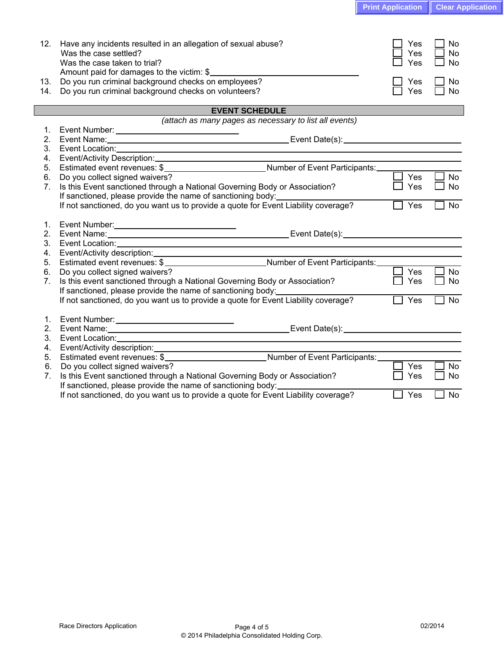| <b>Print Application   Clear Application</b> |  |
|----------------------------------------------|--|
|----------------------------------------------|--|

| 12.            | Have any incidents resulted in an allegation of sexual abuse?<br>Was the case settled?<br>Was the case taken to trial?<br>Amount paid for damages to the victim: \$                                                            | Yes<br>Yes<br><b>Yes</b> | No<br><b>No</b><br>No |
|----------------|--------------------------------------------------------------------------------------------------------------------------------------------------------------------------------------------------------------------------------|--------------------------|-----------------------|
| 13.            | Do you run criminal background checks on employees?                                                                                                                                                                            | Yes                      | No                    |
| 14.            | Do you run criminal background checks on volunteers?                                                                                                                                                                           | Yes                      | No                    |
|                | <b>EVENT SCHEDULE</b>                                                                                                                                                                                                          |                          |                       |
|                | (attach as many pages as necessary to list all events)                                                                                                                                                                         |                          |                       |
| 1.             |                                                                                                                                                                                                                                |                          |                       |
| 2.             |                                                                                                                                                                                                                                |                          |                       |
| 3.             | Event Location: Note and Second Contract and Second Contract of the Contract of the Contract of the Contract of the Contract of the Contract of the Contract of the Contract of the Contract of the Contract of the Contract o |                          |                       |
| 4.             |                                                                                                                                                                                                                                |                          |                       |
| 5.             |                                                                                                                                                                                                                                |                          |                       |
| 6.             | Do you collect signed waivers?                                                                                                                                                                                                 | Yes                      | <b>No</b>             |
| 7.             | Is this Event sanctioned through a National Governing Body or Association?                                                                                                                                                     | Yes                      | <b>No</b>             |
|                | If sanctioned, please provide the name of sanctioning body:                                                                                                                                                                    |                          |                       |
|                | If not sanctioned, do you want us to provide a quote for Event Liability coverage?                                                                                                                                             | Yes                      | <b>No</b>             |
| 1.<br>2.<br>3. | Event Location: New York Contract in the Contract of the Contract of the Contract of the Contract of the Contract of the Contract of the Contract of the Contract of the Contract of the Contract of the Contract of the Contr |                          |                       |
| 4.             | Event/Activity description:<br>Estimated event revenues: \$<br>Mumber of Event Participants:                                                                                                                                   |                          |                       |
| 5.             |                                                                                                                                                                                                                                |                          |                       |
| 6.             | Do you collect signed waivers?                                                                                                                                                                                                 | Yes                      | <b>No</b>             |
| 7.             | Is this event sanctioned through a National Governing Body or Association?                                                                                                                                                     | Yes                      | No                    |
|                | If sanctioned, please provide the name of sanctioning body:                                                                                                                                                                    | Yes                      | <b>No</b>             |
|                | If not sanctioned, do you want us to provide a quote for Event Liability coverage?                                                                                                                                             |                          |                       |
| 1.             |                                                                                                                                                                                                                                |                          |                       |
| 2.             | Event Number: _________________________________                                                                                                                                                                                |                          |                       |
| 3.             | Event Location: Notified and Second Contract of the Contract of the Contract of the Contract of the Contract of the Contract of the Contract of the Contract of the Contract of the Contract of the Contract of the Contract o |                          |                       |
| 4.             |                                                                                                                                                                                                                                |                          |                       |
| 5.             |                                                                                                                                                                                                                                |                          |                       |
| 6.             | Do you collect signed waivers?                                                                                                                                                                                                 | Yes                      | <b>No</b>             |
| 7.             | Is this Event sanctioned through a National Governing Body or Association?                                                                                                                                                     | Yes                      | <b>No</b>             |
|                | If sanctioned, please provide the name of sanctioning body:                                                                                                                                                                    |                          |                       |
|                | If not sanctioned, do you want us to provide a quote for Event Liability coverage?                                                                                                                                             | Yes                      | <b>No</b>             |